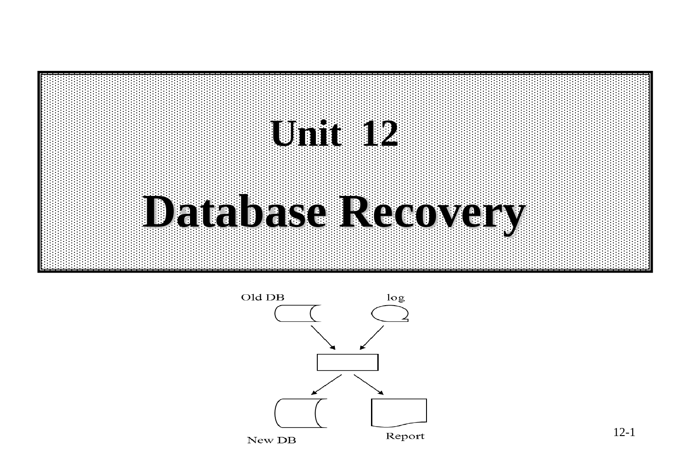# **Unit 12 Database Recovery**



12-1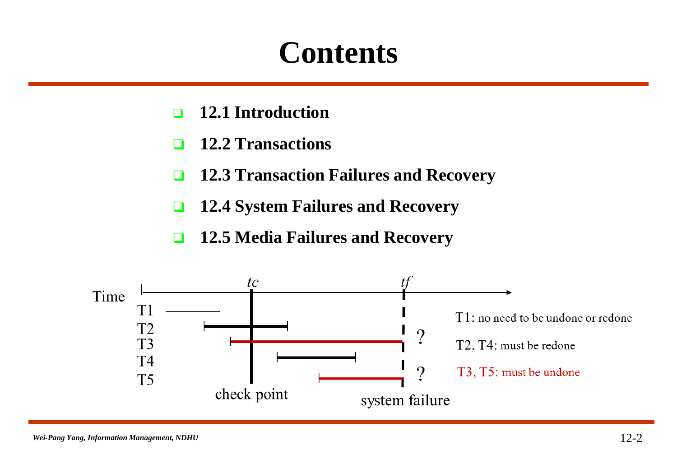### **Contents**

- **12.1 Introduction**
- **12.2 Transactions**
- **12.3 Transaction Failures and Recovery**
- **12.4 System Failures and Recovery**
- **12.5 Media Failures and Recovery**

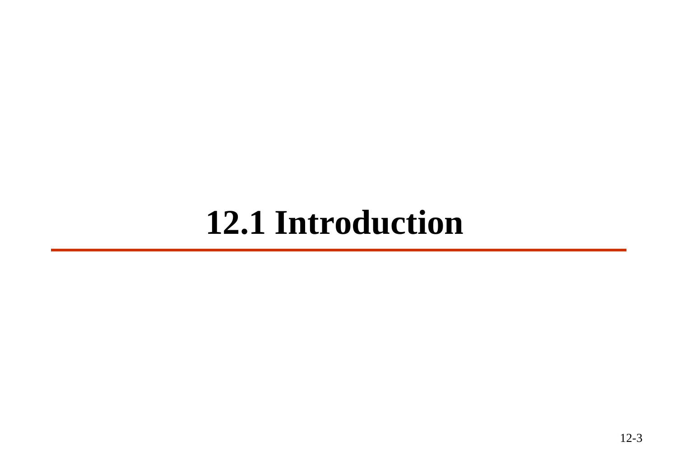### **12.1 Introduction**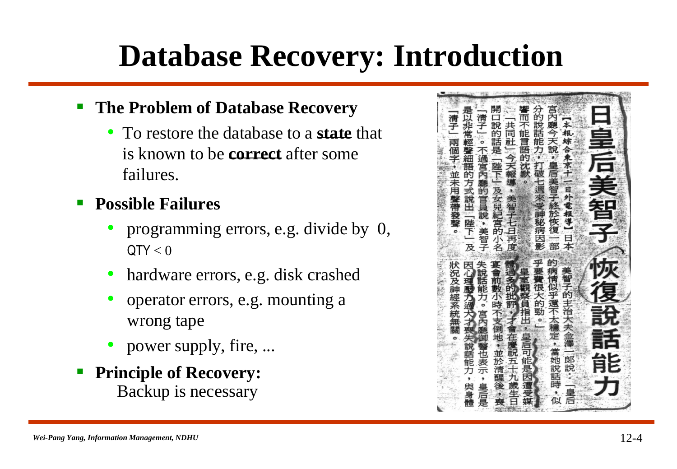### **Database Recovery: Introduction**

#### **The Problem of Database Recovery**

• To restore the database to a **state** that is known to be **correct** after some failures.

#### **Possible Failures**

- programming errors, e.g. divide by 0,  $QTY < 0$
- hardware errors, e.g. disk crashed
- operator errors, e.g. mounting a wrong tape
- power supply, fire, ...
- **Principle of Recovery:**  Backup is necessary

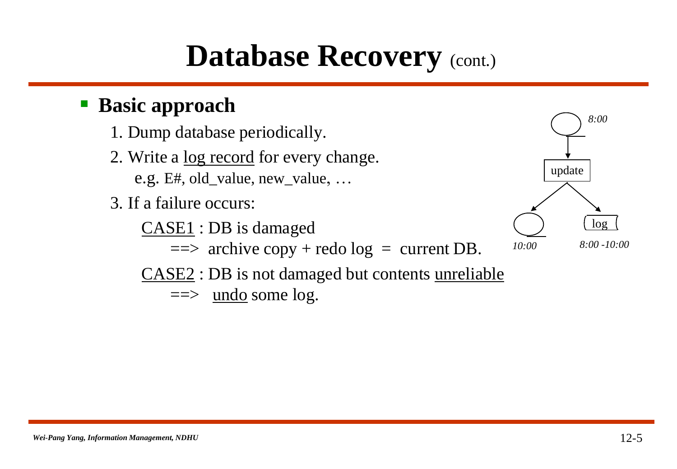### **Database Recovery** (cont.)

#### **Basic approach**

- 1. Dump database periodically.
- 2. Write a log record for every change. e.g. E#, old\_value, new\_value, …
- 3. If a failure occurs:
	- CASE1 : DB is damaged
		- $\implies$  archive copy + redo log = current DB.
	- CASE2 : DB is not damaged but contents unreliable
		- $\implies$  undo some log.

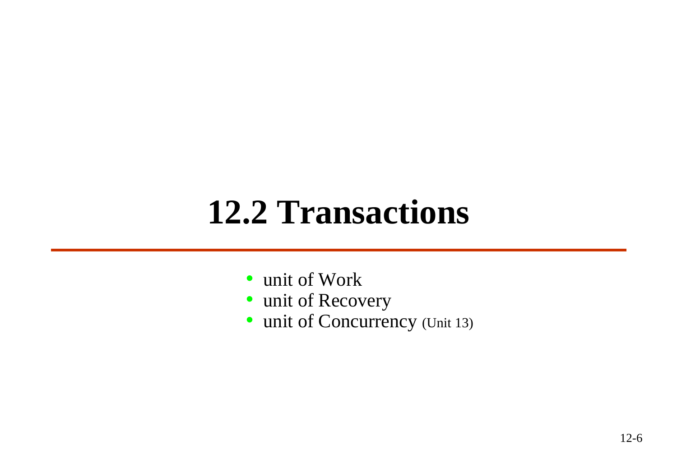### **12.2 Transactions**

- unit of Work
- unit of Recovery
- unit of Concurrency (Unit 13)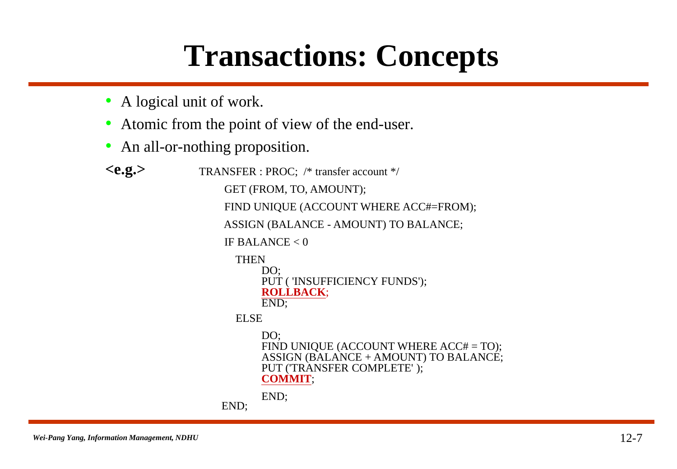### **Transactions: Concepts**

- A logical unit of work.
- Atomic from the point of view of the end-user.
- An all-or-nothing proposition.

```
<e.g.> TRANSFER : PROC; /* transfer account */
       GET (FROM, TO, AMOUNT); 
       FIND UNIQUE (ACCOUNT WHERE ACC#=FROM);
       ASSIGN (BALANCE - AMOUNT) TO BALANCE; 
       IF BALANCE < 0THEN
             DO:
             PUT ( 'INSUFFICIENCY FUNDS'); 
             ROLLBACK;
             END;
         ELSE
             DO:
             FIND UNIQUE (ACCOUNT WHERE ACC# = TO);
             ASSIGN (BALANCE + AMOUNT) TO BALANCE; 
             PUT ('TRANSFER COMPLETE' ); 
             COMMIT;
             END;
      END;
```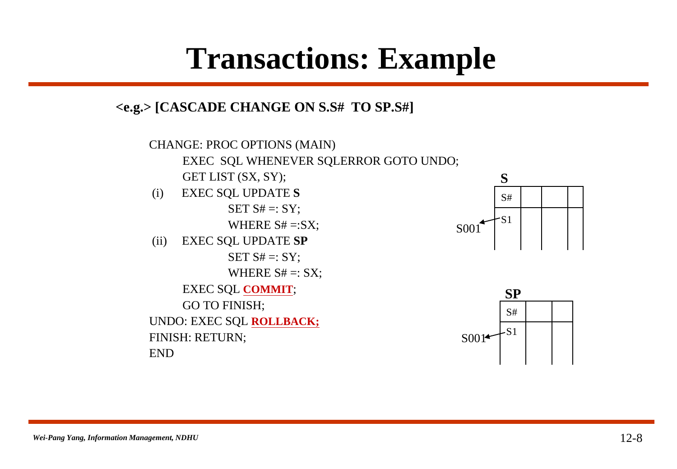### **Transactions: Example**

**<e.g.> [CASCADE CHANGE ON S.S# TO SP.S#]**





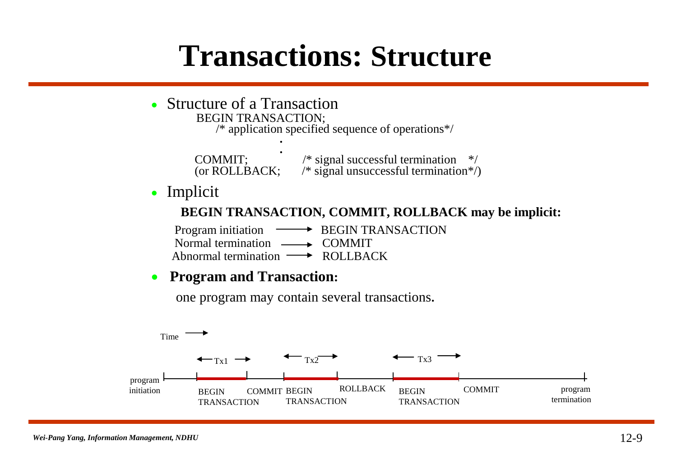#### **Transactions: Structure**

#### • Structure of a Transaction BEGIN TRANSACTION; /\* application specified sequence of operations\*/ **. .** COMMIT;  $\frac{1}{8}$  /\* signal successful termination \*/<br>(or ROLLBACK:  $\frac{1}{8}$  is signal unsuccessful termination \*/  $\sqrt{\frac{2}{\pi}}$  signal unsuccessful termination\*/) • Implicit **BEGIN TRANSACTION, COMMIT, ROLLBACK may be implicit:** Program initiation **BEGIN TRANSACTION** Normal termination  $\longrightarrow$  COMMIT Abnormal termination  $\longrightarrow$  ROLLBACK **Program and Transaction:** one program may contain several transactions**.** Time

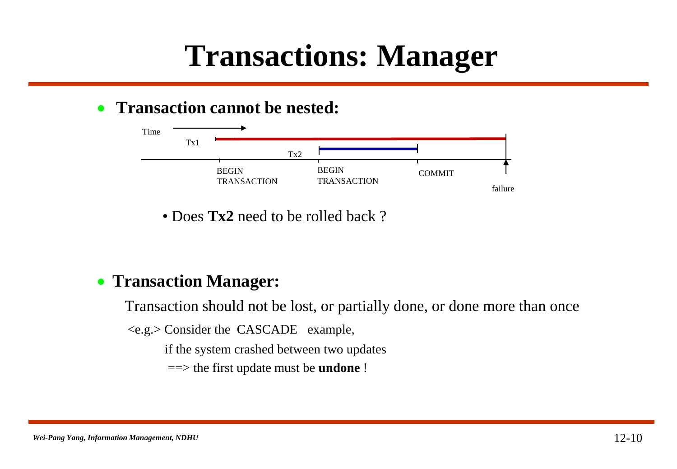### **Transactions: Manager**

#### **• Transaction cannot be nested:**



• Does **Tx2** need to be rolled back?

#### **Transaction Manager:**

Transaction should not be lost, or partially done, or done more than once

<e.g.> Consider the CASCADE example,

if the system crashed between two updates

==> the first update must be **undone** !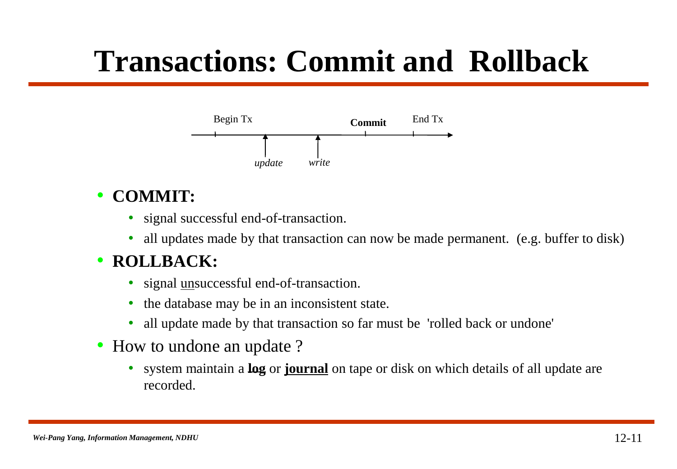### **Transactions: Commit and Rollback**



#### • **COMMIT:**

- signal successful end-of-transaction.
- all updates made by that transaction can now be made permanent. (e.g. buffer to disk)

#### • **ROLLBACK:**

- signal unsuccessful end-of-transaction.
- the database may be in an inconsistent state.
- all update made by that transaction so far must be 'rolled back or undone'
- How to undone an update ?
	- system maintain a **log** or **journal** on tape or disk on which details of all update are recorded.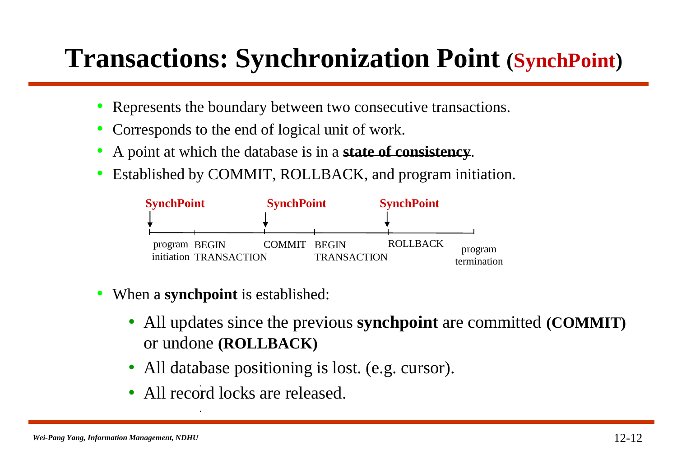#### **Transactions: Synchronization Point (SynchPoint)**

- Represents the boundary between two consecutive transactions.
- Corresponds to the end of logical unit of work.
- A point at which the database is in a **state of consistency**.
- Established by COMMIT, ROLLBACK, and program initiation.



• When a **synchpoint** is established:

**.**

- All updates since the previous **synchpoint** are committed **(COMMIT)** or undone **(ROLLBACK)**
- All database positioning is lost. (e.g. cursor).
- All record locks are released. **. .**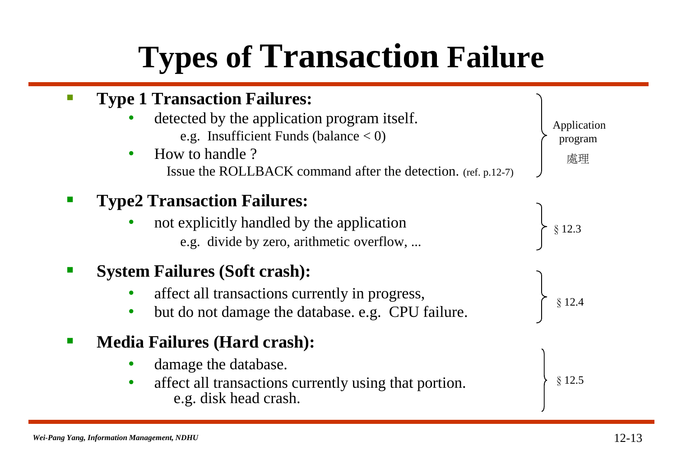### **Types of Transaction Failure**

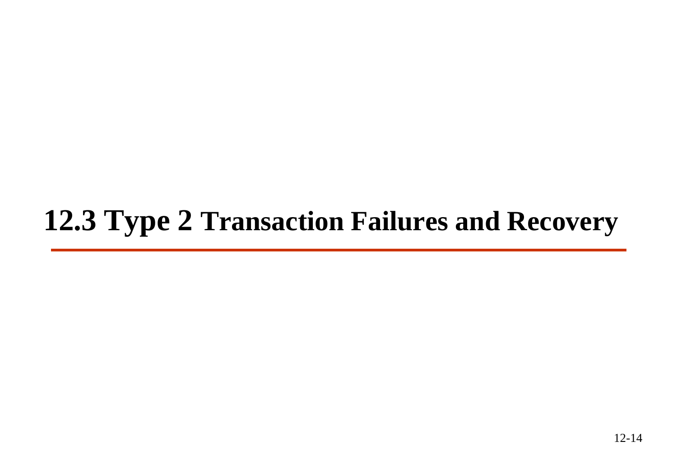### **12.3 Type 2 Transaction Failures and Recovery**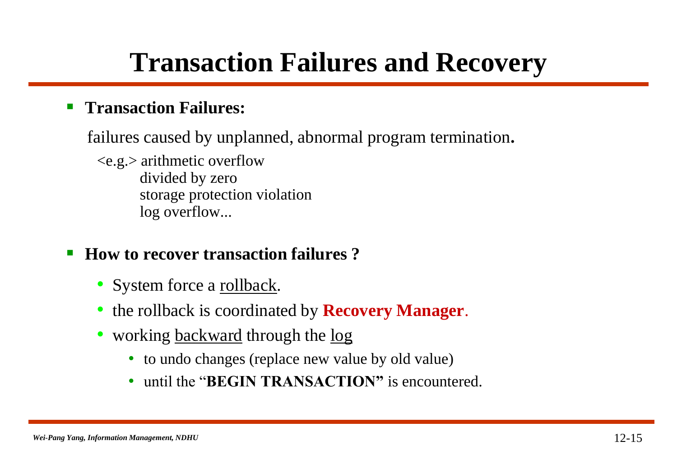#### **Transaction Failures and Recovery**

#### **Figures:** Transaction Failures:

failures caused by unplanned, abnormal program termination**.**

<e.g.> arithmetic overflow divided by zero storage protection violation log overflow...

#### ■ How to recover transaction failures?

- System force a rollback.
- the rollback is coordinated by **Recovery Manager**.
- working backward through the log
	- to undo changes (replace new value by old value)
	- until the "**BEGIN TRANSACTION"** is encountered.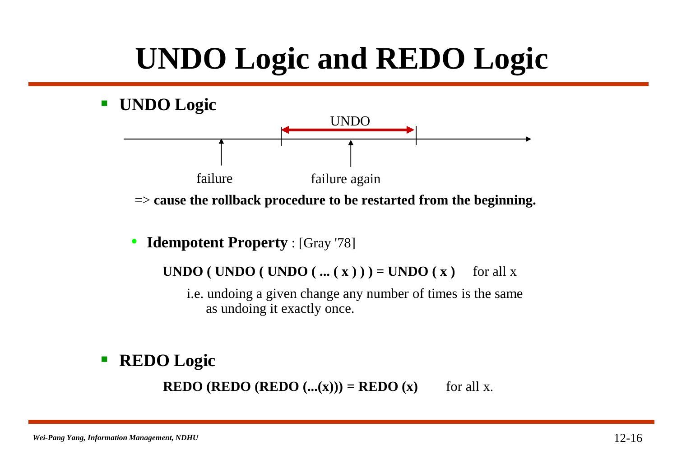### **UNDO Logic and REDO Logic**

**UNDO Logic**



=> **cause the rollback procedure to be restarted from the beginning.**

• **Idempotent Property** : [Gray '78]

**UNDO ( UNDO ( UNDO ( ...**  $(\mathbf{x})$  **) ) = UNDO ( x )** for all x

i.e. undoing a given change any number of times is the same as undoing it exactly once.

#### **REDO Logic**

**REDO (REDO (REDO**  $(\ldots(x))$ **) = REDO**  $(x)$  for all x.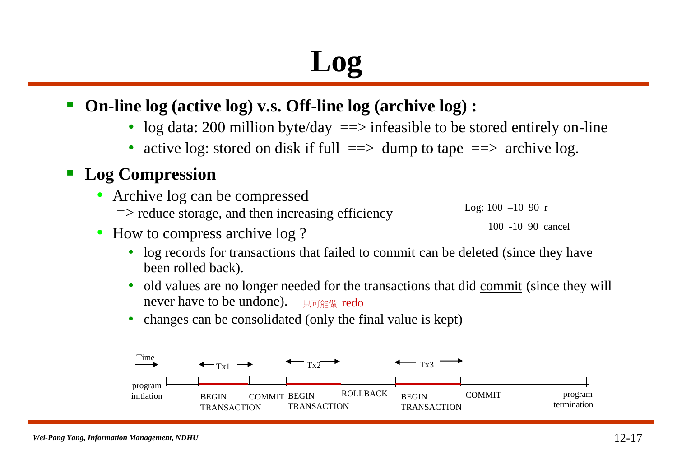### **Log**

#### **On-line log (active log) v.s. Off-line log (archive log) :**

- log data: 200 million byte/day  $\equiv \ge$  infeasible to be stored entirely on-line
- active log: stored on disk if full  $\Rightarrow$  dump to tape  $\Rightarrow$  archive log.

#### **Log Compression**

• Archive log can be compressed  $\Rightarrow$  reduce storage, and then increasing efficiency

- Log:  $100 -10$  90 r
	- 100 -10 90 cancel
- How to compress archive log ?
	- log records for transactions that failed to commit can be deleted (since they have been rolled back).
	- old values are no longer needed for the transactions that did commit (since they will never have to be undone). 只可能做 redo
	- changes can be consolidated (only the final value is kept)

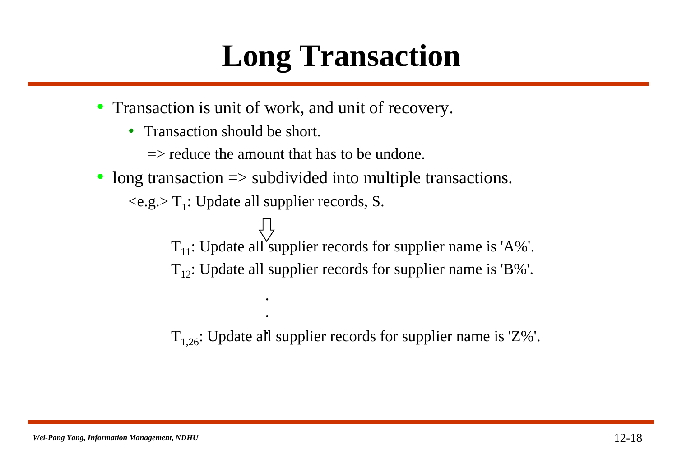### **Long Transaction**

- Transaction is unit of work, and unit of recovery.
	- Transaction should be short.

 $\Rightarrow$  reduce the amount that has to be undone.

• long transaction => subdivided into multiple transactions.

 $\langle e.g. \rangle T_1$ : Update all supplier records, S.

*. .*

 $T_{11}$ : Update all supplier records for supplier name is 'A%'.  $T_{12}$ : Update all supplier records for supplier name is 'B%'.

 $T_{1,26}$ : Update all supplier records for supplier name is 'Z%'. *.*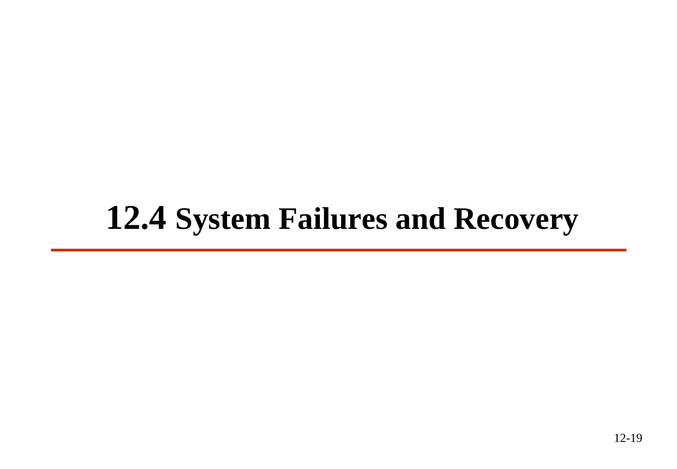### **12.4 System Failures and Recovery**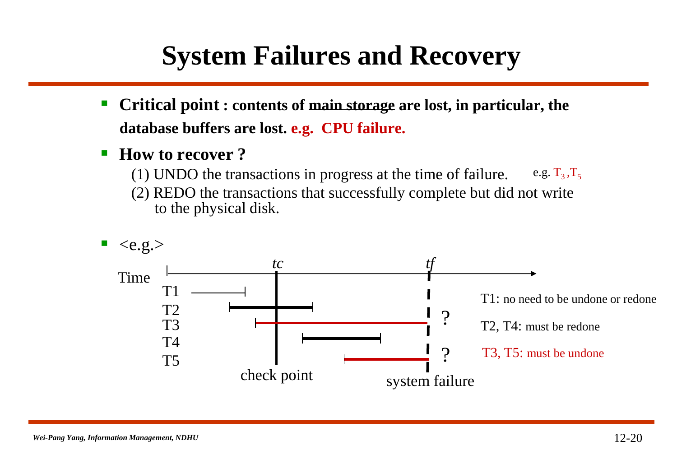#### **System Failures and Recovery**

- **Critical point : contents of main storage are lost, in particular, the database buffers are lost. e.g. CPU failure.**
- How to recover ?
	- (1) UNDO the transactions in progress at the time of failure. e.g.  $T_3, T_5$
	- (2) REDO the transactions that successfully complete but did not write to the physical disk.

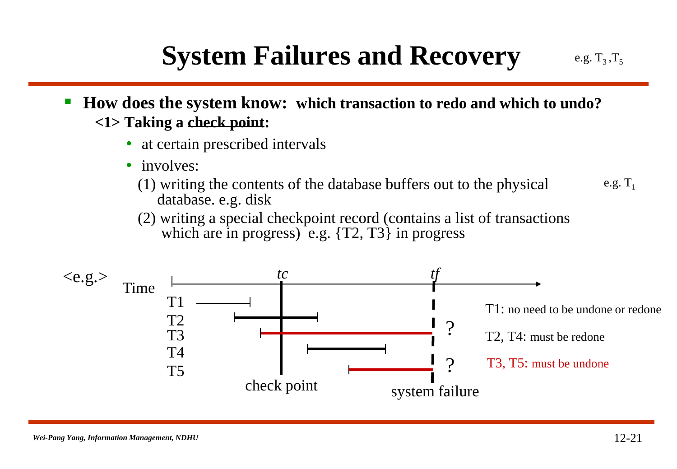#### **System Failures and Recovery**

- **How does the system know: which transaction to redo and which to undo? <1> Taking a check point:**
	- at certain prescribed intervals
	- involves:
		- (1) writing the contents of the database buffers out to the physical database. e.g. disk e.g.  $T_1$
		- (2) writing a special checkpoint record (contains a list of transactions which are in progress) e.g.  $\{T2, T3\}$  in progress



e.g.  $T_3, T_5$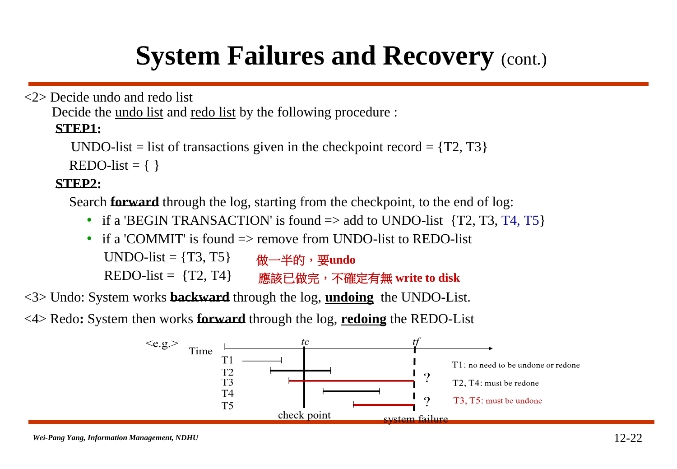#### **System Failures and Recovery (cont.)**

<2> Decide undo and redo list

Decide the undo list and redo list by the following procedure :

#### **STEP1:**

```
UNDO-list = list of transactions given in the checkpoint record = \{T2, T3\}
```
 $REDO-list = \{\}$ 

#### **STEP2:**

Search **forward** through the log, starting from the checkpoint, to the end of log:

- if a 'BEGIN TRANSACTION' is found  $\Rightarrow$  add to UNDO-list {T2, T3, T4, T5}
- if a 'COMMIT' is found  $\Rightarrow$  remove from UNDO-list to REDO-list UNDO-list  $= \{T3, T5\}$  $REDO-list = {T2, T4}$ 做一半的,要**undo** 應該已做完,不確定有無 **write to disk**

<3> Undo: System works **backward** through the log, **undoing** the UNDO-List.

<4> Redo**:** System then works **forward** through the log, **redoing** the REDO-List

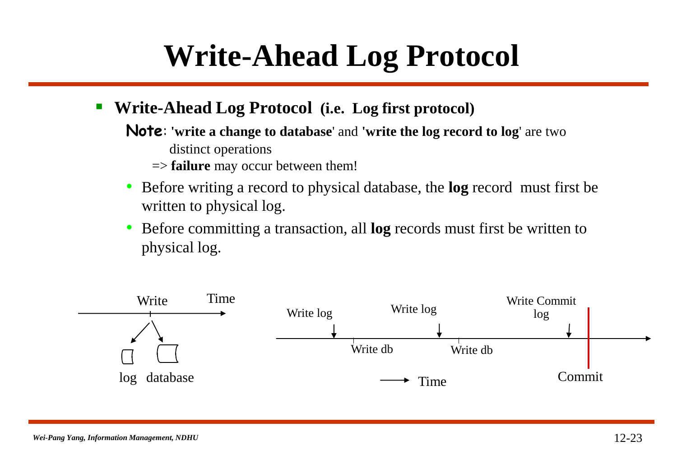### **Write-Ahead Log Protocol**

- **Write-Ahead Log Protocol (i.e. Log first protocol)**
	- **Note**: **'write a change to database**' and **'write the log record to log**' are two distinct operations
		- => **failure** may occur between them!
	- Before writing a record to physical database, the **log** record must first be written to physical log.
	- Before committing a transaction, all **log** records must first be written to physical log.

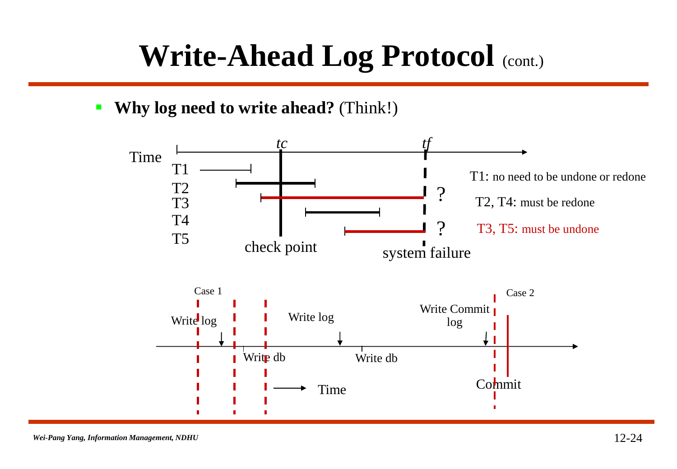### **Write-Ahead Log Protocol** (cont.)

**Why log need to write ahead?** (Think!)

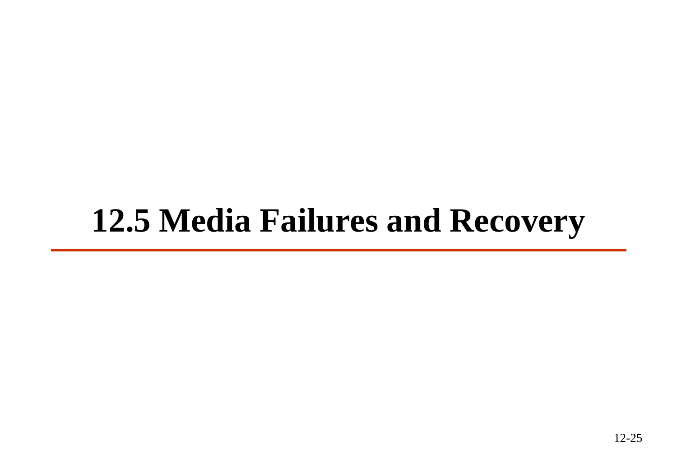### **12.5 Media Failures and Recovery**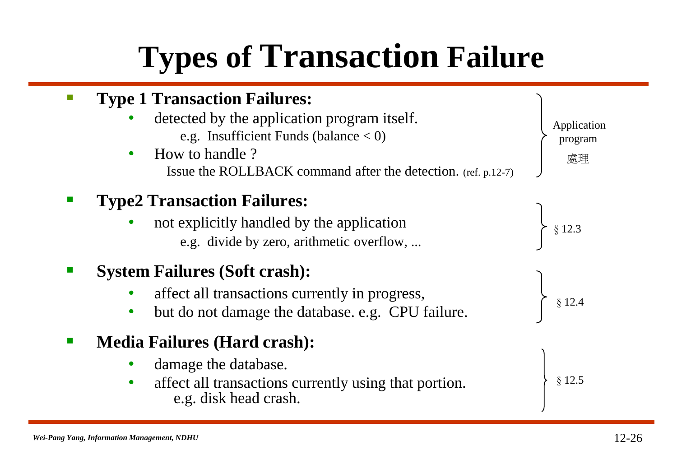### **Types of Transaction Failure**

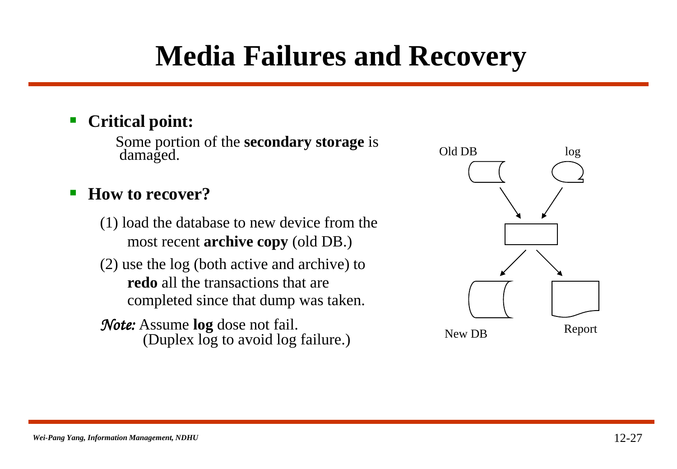### **Media Failures and Recovery**

#### **Critical point:**

Some portion of the **secondary storage** is damaged.

#### **How to recover?**

- (1) load the database to new device from the most recent **archive copy** (old DB.)
- (2) use the log (both active and archive) to **redo** all the transactions that are completed since that dump was taken.

#### *Note:* Assume **log** dose not fail. (Duplex log to avoid log failure.)